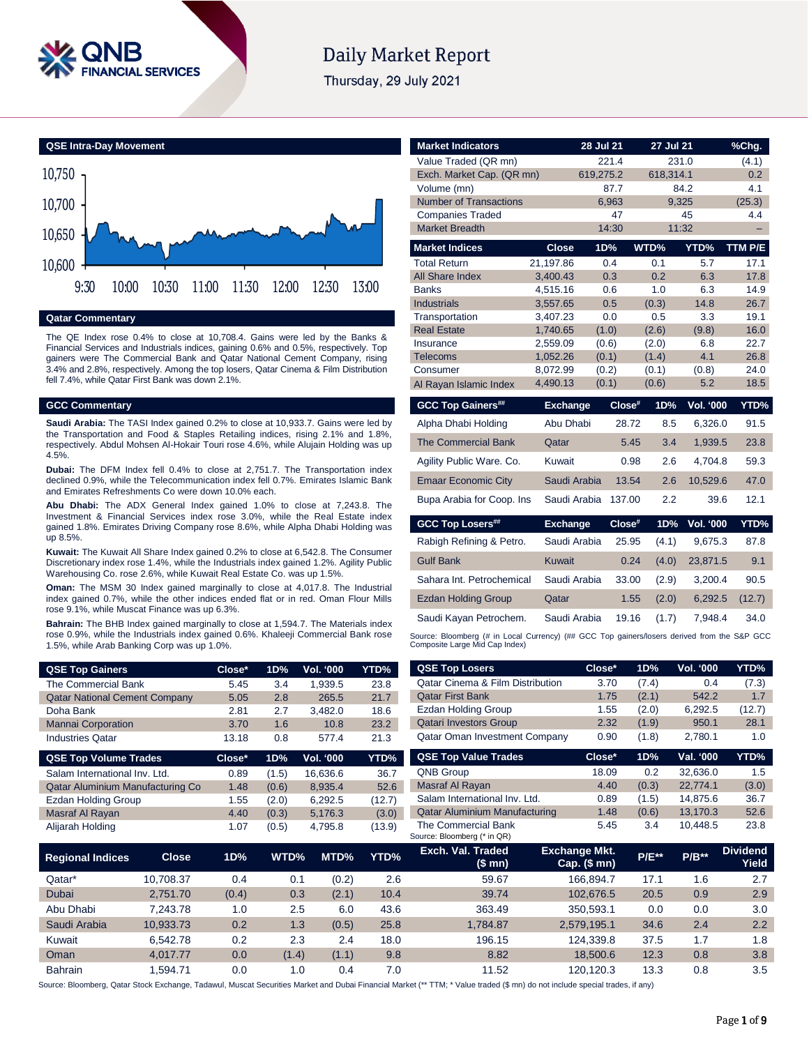

# **Daily Market Report**

Thursday, 29 July 2021



#### **Qatar Commentary**

The QE Index rose 0.4% to close at 10,708.4. Gains were led by the Banks & Financial Services and Industrials indices, gaining 0.6% and 0.5%, respectively. Top gainers were The Commercial Bank and Qatar National Cement Company, rising 3.4% and 2.8%, respectively. Among the top losers, Qatar Cinema & Film Distribution fell 7.4%, while Qatar First Bank was down 2.1%.

#### **GCC Commentary**

**Saudi Arabia:** The TASI Index gained 0.2% to close at 10,933.7. Gains were led by the Transportation and Food & Staples Retailing indices, rising 2.1% and 1.8%, respectively. Abdul Mohsen Al-Hokair Touri rose 4.6%, while Alujain Holding was up 4.5%.

**Dubai:** The DFM Index fell 0.4% to close at 2,751.7. The Transportation index declined 0.9%, while the Telecommunication index fell 0.7%. Emirates Islamic Bank and Emirates Refreshments Co were down 10.0% each.

**Abu Dhabi:** The ADX General Index gained 1.0% to close at 7,243.8. The Investment & Financial Services index rose 3.0%, while the Real Estate index gained 1.8%. Emirates Driving Company rose 8.6%, while Alpha Dhabi Holding was up 8.5%.

**Kuwait:** The Kuwait All Share Index gained 0.2% to close at 6,542.8. The Consumer Discretionary index rose 1.4%, while the Industrials index gained 1.2%. Agility Public Warehousing Co. rose 2.6%, while Kuwait Real Estate Co. was up 1.5%.

**Oman:** The MSM 30 Index gained marginally to close at 4,017.8. The Industrial index gained 0.7%, while the other indices ended flat or in red. Oman Flour Mills rose 9.1%, while Muscat Finance was up 6.3%.

**Bahrain:** The BHB Index gained marginally to close at 1,594.7. The Materials index rose 0.9%, while the Industrials index gained 0.6%. Khaleeji Commercial Bank rose 1.5%, while Arab Banking Corp was up 1.0%.

| <b>QSE Top Gainers</b>                  | Close* | 1D%   | Vol. '000        | YTD%   |
|-----------------------------------------|--------|-------|------------------|--------|
| The Commercial Bank                     | 5.45   | 3.4   | 1,939.5          | 23.8   |
| <b>Qatar National Cement Company</b>    | 5.05   | 2.8   | 265.5            | 21.7   |
| Doha Bank                               | 2.81   | 2.7   | 3.482.0          | 18.6   |
| <b>Mannai Corporation</b>               | 3.70   | 1.6   | 10.8             | 23.2   |
| <b>Industries Qatar</b>                 | 13.18  | 0.8   | 577.4            | 21.3   |
|                                         |        |       |                  |        |
| <b>QSE Top Volume Trades</b>            | Close* | 1D%   | <b>Vol. '000</b> | YTD%   |
| Salam International Inv. Ltd.           | 0.89   | (1.5) | 16.636.6         | 36.7   |
| <b>Qatar Aluminium Manufacturing Co</b> | 1.48   | (0.6) | 8.935.4          | 52.6   |
| Ezdan Holding Group                     | 1.55   | (2.0) | 6.292.5          | (12.7) |
| Masraf Al Rayan                         | 4.40   | (0.3) | 5,176.3          | (3.0)  |

| <b>Market Indicators</b>        |                      | 28 Jul 21                                                                                   |                | <b>27 Jul 21</b> |                  | %Chq.        |  |  |  |  |  |
|---------------------------------|----------------------|---------------------------------------------------------------------------------------------|----------------|------------------|------------------|--------------|--|--|--|--|--|
| Value Traded (QR mn)            |                      |                                                                                             | 221.4          |                  | 231.0            | (4.1)        |  |  |  |  |  |
| Exch. Market Cap. (QR mn)       |                      | 619.275.2                                                                                   |                | 618.314.1        |                  | 0.2          |  |  |  |  |  |
| Volume (mn)                     |                      |                                                                                             | 87.7           |                  | 84.2             | 4.1          |  |  |  |  |  |
| <b>Number of Transactions</b>   |                      |                                                                                             | 6.963          |                  | 9,325            | (25.3)       |  |  |  |  |  |
| <b>Companies Traded</b>         |                      |                                                                                             | 47             |                  | 45               | 4.4          |  |  |  |  |  |
| <b>Market Breadth</b>           |                      |                                                                                             | 14:30          |                  | 11:32            |              |  |  |  |  |  |
| <b>Market Indices</b>           | Close                | 1D%                                                                                         |                | WTD%             | YTD%             | TTM P/E      |  |  |  |  |  |
| <b>Total Return</b>             | 21.197.86            |                                                                                             | 0.4            | 0.1              | 5.7              | 17.1         |  |  |  |  |  |
| All Share Index                 | 3.400.43             |                                                                                             | 0.3            | 0.2              | 6.3              | 17.8         |  |  |  |  |  |
| <b>Banks</b>                    | 4,515.16             |                                                                                             | 0.6            | 1.0              | 6.3              | 14.9         |  |  |  |  |  |
| <b>Industrials</b>              | 3,557.65             |                                                                                             | 0.5            | (0.3)            | 14.8             | 26.7         |  |  |  |  |  |
| Transportation                  | 3,407.23             |                                                                                             | 0.0            | 0.5              | 3.3              | 19.1         |  |  |  |  |  |
| <b>Real Estate</b><br>Insurance | 1,740.65<br>2.559.09 |                                                                                             | (1.0)<br>(0.6) | (2.6)<br>(2.0)   | (9.8)<br>6.8     | 16.0<br>22.7 |  |  |  |  |  |
| <b>Telecoms</b>                 | 1,052.26             |                                                                                             | (0.1)          | (1.4)            | 4.1              | 26.8         |  |  |  |  |  |
| Consumer                        | 8,072.99             | (0.2)                                                                                       |                | (0.1)            | (0.8)            | 24.0         |  |  |  |  |  |
| Al Rayan Islamic Index          | 4,490.13             | (0.1)                                                                                       |                | (0.6)            | 5.2              | 18.5         |  |  |  |  |  |
| <b>GCC Top Gainers##</b>        | <b>Exchange</b>      |                                                                                             | $Close^*$      | 1D%              | Vol. '000        | YTD%         |  |  |  |  |  |
| Alpha Dhabi Holding             | Abu Dhabi            |                                                                                             | 28.72          | 8.5              | 6,326.0          | 91.5         |  |  |  |  |  |
| <b>The Commercial Bank</b>      | Qatar                |                                                                                             | 5.45           | 3.4              | 1,939.5          | 23.8         |  |  |  |  |  |
| Agility Public Ware. Co.        | Kuwait               |                                                                                             | 0.98           | 2.6              | 4,704.8          | 59.3         |  |  |  |  |  |
| <b>Emaar Economic City</b>      | Saudi Arabia         |                                                                                             | 13.54          | 2.6              | 10,529.6         | 47.0         |  |  |  |  |  |
| Bupa Arabia for Coop. Ins       | Saudi Arabia         |                                                                                             | 137.00         | 2.2              | 39.6             | 12.1         |  |  |  |  |  |
| <b>GCC Top Losers##</b>         | <b>Exchange</b>      |                                                                                             | $Close^*$      | 1D%              | <b>Vol. '000</b> | YTD%         |  |  |  |  |  |
| Rabigh Refining & Petro.        | Saudi Arabia         |                                                                                             | 25.95          | (4.1)            | 9,675.3          | 87.8         |  |  |  |  |  |
| <b>Gulf Bank</b>                | <b>Kuwait</b>        |                                                                                             | 0.24           | (4.0)            | 23,871.5         | 9.1          |  |  |  |  |  |
| Sahara Int. Petrochemical       | Saudi Arabia         |                                                                                             | 33.00          | (2.9)            | 3,200.4          | 90.5         |  |  |  |  |  |
| <b>Ezdan Holding Group</b>      | Qatar                |                                                                                             | 1.55           | (2.0)            | 6,292.5          | (12.7)       |  |  |  |  |  |
| Saudi Kayan Petrochem.          | Saudi Arabia         |                                                                                             | 19.16          | (1.7)            | 7.948.4          | 34.0         |  |  |  |  |  |
| Composite Large Mid Cap Index)  |                      | Source: Bloomberg (# in Local Currency) (## GCC Top gainers/losers derived from the S&P GCC |                |                  |                  |              |  |  |  |  |  |

| <b>QSE Top Gainers</b>               |                                | Close* | 1D%                                         | <b>Vol. '000</b> | YTD%                    | <b>QSE Top Losers</b>                              | Close*                                   | 1D%      | Vol. '000 | YTD%                            |
|--------------------------------------|--------------------------------|--------|---------------------------------------------|------------------|-------------------------|----------------------------------------------------|------------------------------------------|----------|-----------|---------------------------------|
| The Commercial Bank                  | 1,939.5<br>23.8<br>5.45<br>3.4 |        | <b>Qatar Cinema &amp; Film Distribution</b> | 3.70             | (7.4)                   | 0.4                                                | (7.3)                                    |          |           |                                 |
| <b>Qatar National Cement Company</b> |                                | 5.05   | 2.8                                         | 265.5            | 21.7                    | <b>Qatar First Bank</b>                            | 1.75                                     | (2.1)    | 542.2     | 1.7                             |
| Doha Bank                            |                                | 2.81   | 2.7                                         | 3,482.0          | 18.6                    | <b>Ezdan Holding Group</b>                         | 1.55                                     | (2.0)    | 6,292.5   | (12.7)                          |
| <b>Mannai Corporation</b>            |                                | 3.70   | 1.6                                         | 10.8             | 23.2                    | <b>Qatari Investors Group</b>                      | 2.32                                     | (1.9)    | 950.1     | 28.1                            |
| <b>Industries Qatar</b>              |                                | 13.18  | 0.8                                         | 577.4            | 21.3                    | <b>Qatar Oman Investment Company</b>               | 0.90                                     | (1.8)    | 2,780.1   | 1.0                             |
| <b>QSE Top Volume Trades</b>         |                                | Close* | 1D%                                         | Vol. '000        | YTD%                    | <b>QSE Top Value Trades</b>                        | Close*                                   | 1D%      | Val. '000 | YTD%                            |
| Salam International Inv. Ltd.        |                                | 0.89   | (1.5)                                       | 16,636.6         | 36.7                    | <b>QNB Group</b>                                   | 18.09                                    | 0.2      | 32,636.0  | 1.5                             |
| Qatar Aluminium Manufacturing Co     |                                | 1.48   | (0.6)                                       | 8,935.4          | Masraf Al Rayan<br>52.6 |                                                    | 4.40                                     | (0.3)    | 22,774.1  | (3.0)                           |
| <b>Ezdan Holding Group</b>           |                                | 1.55   | (2.0)                                       | 6,292.5          | (12.7)                  | Salam International Inv. Ltd.                      | 0.89                                     | (1.5)    | 14,875.6  | 36.7                            |
| Masraf Al Rayan                      |                                | 4.40   | (0.3)                                       | 5,176.3          | (3.0)                   | <b>Qatar Aluminium Manufacturing</b>               | 1.48                                     | (0.6)    | 13,170.3  | 52.6                            |
| Alijarah Holding                     |                                | 1.07   | (0.5)                                       | 4,795.8          | (13.9)                  | The Commercial Bank<br>Source: Bloomberg (* in QR) | 5.45                                     | 3.4      | 10,448.5  | 23.8                            |
| <b>Regional Indices</b>              | <b>Close</b>                   | 1D%    | WTD%                                        | MTD%             | YTD%                    | Exch. Val. Traded<br>(\$mn)                        | <b>Exchange Mkt.</b><br>Cap. $($$ mn $)$ | $P/E***$ | $P/B**$   | <b>Dividend</b><br><b>Yield</b> |
| Qatar*                               | 10,708.37                      | 0.4    | 0.1                                         | (0.2)            | 2.6                     | 59.67                                              | 166,894.7                                | 17.1     | 1.6       | 2.7                             |
| Dubai                                | 2,751.70                       | (0.4)  | 0.3                                         | (2.1)            | 10.4                    | 39.74                                              | 102,676.5                                | 20.5     | 0.9       | 2.9                             |
| Abu Dhabi                            | 7,243.78                       | 1.0    | 2.5                                         | 6.0              | 43.6                    | 363.49                                             | 350,593.1                                | 0.0      | 0.0       | 3.0                             |
| Saudi Arabia                         | 10,933.73                      | 0.2    | 1.3                                         | (0.5)            | 25.8                    | 1,784.87                                           | 2,579,195.1                              | 34.6     | 2.4       | 2.2                             |
| Kuwait                               | 6,542.78                       | 0.2    | 2.3                                         | 2.4              | 18.0                    | 196.15                                             | 124,339.8                                | 37.5     | 1.7       | 1.8                             |
| Oman                                 | 4,017.77                       | 0.0    | (1.4)                                       | (1.1)            | 9.8                     | 8.82                                               | 18,500.6                                 | 12.3     | 0.8       | 3.8                             |

Source: Bloomberg, Qatar Stock Exchange, Tadawul, Muscat Securities Market and Dubai Financial Market (\*\* TTM; \* Value traded (\$ mn) do not include special trades, if any)

Bahrain 1,594.71 0.0 1.0 0.4 7.0 11.52 120,120.3 13.3 0.8 3.5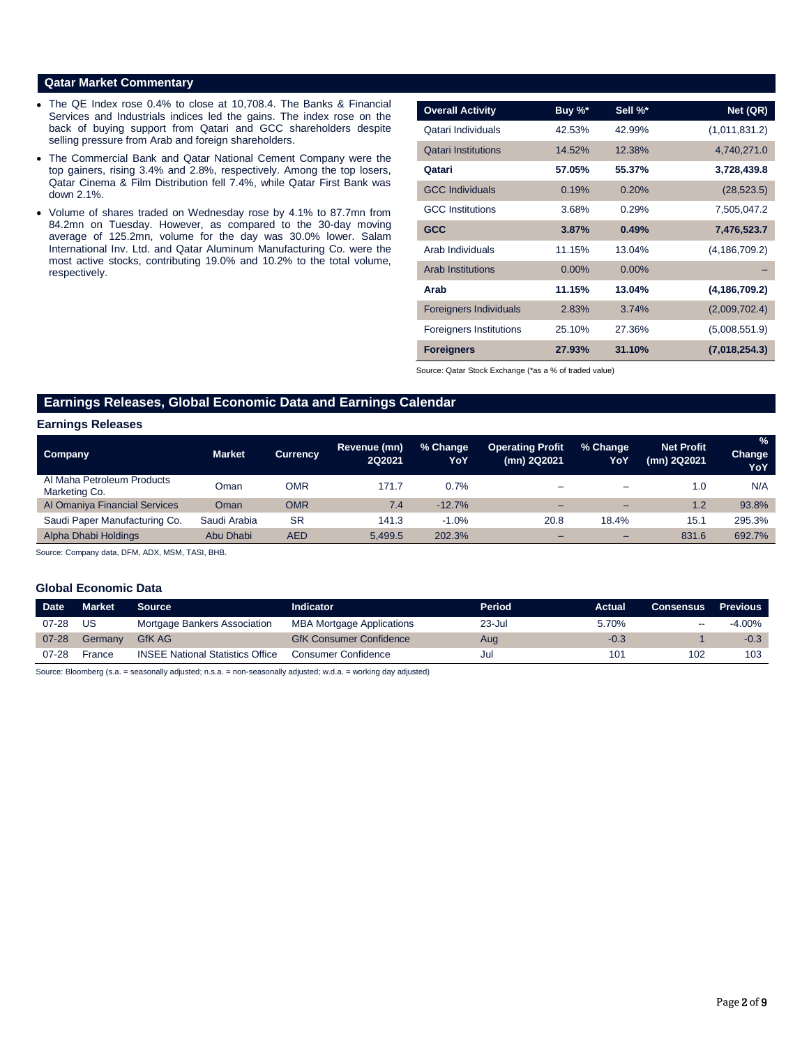## **Qatar Market Commentary**

- The QE Index rose 0.4% to close at 10,708.4. The Banks & Financial Services and Industrials indices led the gains. The index rose on the back of buying support from Qatari and GCC shareholders despite selling pressure from Arab and foreign shareholders.
- The Commercial Bank and Qatar National Cement Company were the top gainers, rising 3.4% and 2.8%, respectively. Among the top losers, Qatar Cinema & Film Distribution fell 7.4%, while Qatar First Bank was down 2.1%.
- Volume of shares traded on Wednesday rose by 4.1% to 87.7mn from 84.2mn on Tuesday. However, as compared to the 30-day moving average of 125.2mn, volume for the day was 30.0% lower. Salam International Inv. Ltd. and Qatar Aluminum Manufacturing Co. were the most active stocks, contributing 19.0% and 10.2% to the total volume, respectively.

| <b>Overall Activity</b>        | Buy %*   | Sell %*  | Net (QR)        |
|--------------------------------|----------|----------|-----------------|
| Qatari Individuals             | 42.53%   | 42.99%   | (1,011,831.2)   |
| <b>Qatari Institutions</b>     | 14.52%   | 12.38%   | 4,740,271.0     |
| Qatari                         | 57.05%   | 55.37%   | 3,728,439.8     |
| <b>GCC Individuals</b>         | 0.19%    | 0.20%    | (28, 523.5)     |
| <b>GCC</b> Institutions        | 3.68%    | 0.29%    | 7,505,047.2     |
| <b>GCC</b>                     | 3.87%    | 0.49%    | 7,476,523.7     |
| Arab Individuals               | 11.15%   | 13.04%   | (4, 186, 709.2) |
| <b>Arab Institutions</b>       | $0.00\%$ | $0.00\%$ |                 |
| Arab                           | 11.15%   | 13.04%   | (4, 186, 709.2) |
| <b>Foreigners Individuals</b>  | 2.83%    | 3.74%    | (2,009,702.4)   |
| <b>Foreigners Institutions</b> | 25.10%   | 27.36%   | (5,008,551.9)   |
| <b>Foreigners</b>              | 27.93%   | 31.10%   | (7,018,254.3)   |

Source: Qatar Stock Exchange (\*as a % of traded value)

# **Earnings Releases, Global Economic Data and Earnings Calendar**

#### **Earnings Releases**

| <b>Company</b>                              | <b>Market</b> | <b>Currency</b> | Revenue (mn)<br><b>2Q2021</b> | % Change<br>YoY | <b>Operating Profit</b><br>(mn) 2Q2021 | % Change<br>YoY          | <b>Net Profit</b><br>(mn) 2Q2021 | %<br><b>Change</b><br>YoY |
|---------------------------------------------|---------------|-----------------|-------------------------------|-----------------|----------------------------------------|--------------------------|----------------------------------|---------------------------|
| Al Maha Petroleum Products<br>Marketing Co. | Oman          | OMR             | 171.7                         | 0.7%            | -                                      | $\overline{\phantom{a}}$ | 1.0                              | N/A                       |
| Al Omaniya Financial Services               | Oman          | <b>OMR</b>      | 7.4                           | $-12.7%$        | -                                      | $\overline{\phantom{0}}$ | 1.2                              | 93.8%                     |
| Saudi Paper Manufacturing Co.               | Saudi Arabia  | <b>SR</b>       | 141.3                         | $-1.0%$         | 20.8                                   | 18.4%                    | 15.1                             | 295.3%                    |
| Alpha Dhabi Holdings                        | Abu Dhabi     | <b>AED</b>      | 5.499.5                       | 202.3%          | -                                      | $\overline{\phantom{0}}$ | 831.6                            | 692.7%                    |

Source: Company data, DFM, ADX, MSM, TASI, BHB.

### **Global Economic Data**

| <b>Date</b> | Market  | <b>Source</b>                           | <b>Indicator</b>                 | Period | Actual | <b>Consensus</b> | <b>Previous</b> |
|-------------|---------|-----------------------------------------|----------------------------------|--------|--------|------------------|-----------------|
| $07 - 28$   | US      | Mortgage Bankers Association            | <b>MBA Mortgage Applications</b> | 23-Jul | 5.70%  | $- -$            | -4.00%          |
| $07 - 28$   | Germany | <b>GfK AG</b>                           | <b>GfK Consumer Confidence</b>   | Aug    | $-0.3$ |                  | $-0.3$          |
| $07 - 28$   | France  | <b>INSEE National Statistics Office</b> | Consumer Confidence              | Jul    | 101    | 102              | 103             |

Source: Bloomberg (s.a. = seasonally adjusted; n.s.a. = non-seasonally adjusted; w.d.a. = working day adjusted)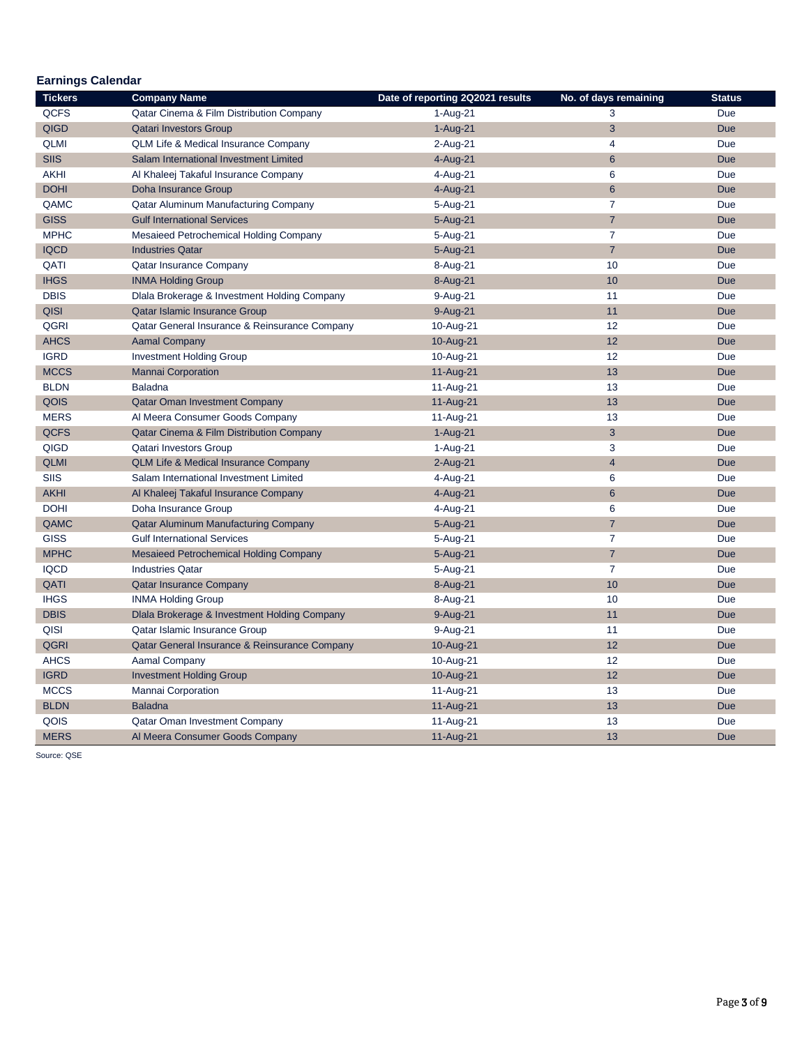| <b>Earnings Calendar</b> |                                                 |                                  |                       |               |  |  |  |  |  |
|--------------------------|-------------------------------------------------|----------------------------------|-----------------------|---------------|--|--|--|--|--|
| <b>Tickers</b>           | <b>Company Name</b>                             | Date of reporting 2Q2021 results | No. of days remaining | <b>Status</b> |  |  |  |  |  |
| <b>QCFS</b>              | Qatar Cinema & Film Distribution Company        | 1-Aug-21                         | 3                     | Due           |  |  |  |  |  |
| <b>QIGD</b>              | <b>Qatari Investors Group</b>                   | $1-Auq-21$                       | 3                     | <b>Due</b>    |  |  |  |  |  |
| <b>QLMI</b>              | <b>QLM Life &amp; Medical Insurance Company</b> | 2-Aug-21                         | $\overline{4}$        | Due           |  |  |  |  |  |
| <b>SIIS</b>              | Salam International Investment Limited          | 4-Aug-21                         | 6                     | <b>Due</b>    |  |  |  |  |  |
| <b>AKHI</b>              | Al Khaleej Takaful Insurance Company            | 4-Aug-21                         | 6                     | Due           |  |  |  |  |  |
| <b>DOHI</b>              | Doha Insurance Group                            | 4-Aug-21                         | $6\phantom{1}6$       | <b>Due</b>    |  |  |  |  |  |
| QAMC                     | Qatar Aluminum Manufacturing Company            | 5-Aug-21                         | $\overline{7}$        | Due           |  |  |  |  |  |
| <b>GISS</b>              | <b>Gulf International Services</b>              | 5-Aug-21                         | $\overline{7}$        | <b>Due</b>    |  |  |  |  |  |
| <b>MPHC</b>              | Mesaieed Petrochemical Holding Company          | 5-Aug-21                         | $\overline{7}$        | Due           |  |  |  |  |  |
| <b>IQCD</b>              | <b>Industries Qatar</b>                         | 5-Aug-21                         | $\overline{7}$        | <b>Due</b>    |  |  |  |  |  |
| QATI                     | Qatar Insurance Company                         | 8-Aug-21                         | 10                    | Due           |  |  |  |  |  |
| <b>IHGS</b>              | <b>INMA Holding Group</b>                       | 8-Aug-21                         | 10                    | <b>Due</b>    |  |  |  |  |  |
| <b>DBIS</b>              | Dlala Brokerage & Investment Holding Company    | 9-Aug-21                         | 11                    | Due           |  |  |  |  |  |
| <b>QISI</b>              | Qatar Islamic Insurance Group                   | 9-Aug-21                         | 11                    | <b>Due</b>    |  |  |  |  |  |
| QGRI                     | Qatar General Insurance & Reinsurance Company   | 10-Aug-21                        | 12                    | <b>Due</b>    |  |  |  |  |  |
| <b>AHCS</b>              | <b>Aamal Company</b>                            | 10-Aug-21                        | 12                    | <b>Due</b>    |  |  |  |  |  |
| <b>IGRD</b>              | <b>Investment Holding Group</b>                 | 10-Aug-21                        | 12                    | <b>Due</b>    |  |  |  |  |  |
| <b>MCCS</b>              | <b>Mannai Corporation</b>                       | 11-Aug-21                        | 13                    | <b>Due</b>    |  |  |  |  |  |
| <b>BLDN</b>              | <b>Baladna</b>                                  | 11-Aug-21                        | 13                    | Due           |  |  |  |  |  |
| QOIS                     | <b>Qatar Oman Investment Company</b>            | 11-Aug-21                        | 13                    | <b>Due</b>    |  |  |  |  |  |
| <b>MERS</b>              | Al Meera Consumer Goods Company                 | 11-Aug-21                        | 13                    | Due           |  |  |  |  |  |
| <b>QCFS</b>              | Qatar Cinema & Film Distribution Company        | 1-Aug-21                         | $\mathbf{3}$          | <b>Due</b>    |  |  |  |  |  |
| QIGD                     | <b>Qatari Investors Group</b>                   | 1-Aug-21                         | 3                     | Due           |  |  |  |  |  |
| <b>QLMI</b>              | <b>QLM Life &amp; Medical Insurance Company</b> | $2-Auq-21$                       | $\overline{4}$        | <b>Due</b>    |  |  |  |  |  |
| <b>SIIS</b>              | Salam International Investment Limited          | 4-Aug-21                         | 6                     | <b>Due</b>    |  |  |  |  |  |
| <b>AKHI</b>              | Al Khaleej Takaful Insurance Company            | 4-Aug-21                         | $6\phantom{1}6$       | <b>Due</b>    |  |  |  |  |  |
| <b>DOHI</b>              | Doha Insurance Group                            | 4-Aug-21                         | 6                     | Due           |  |  |  |  |  |
| QAMC                     | Qatar Aluminum Manufacturing Company            | 5-Aug-21                         | $\overline{7}$        | <b>Due</b>    |  |  |  |  |  |
| <b>GISS</b>              | <b>Gulf International Services</b>              | 5-Aug-21                         | $\overline{7}$        | Due           |  |  |  |  |  |
| <b>MPHC</b>              | <b>Mesaieed Petrochemical Holding Company</b>   | 5-Aug-21                         | $\overline{7}$        | <b>Due</b>    |  |  |  |  |  |
| <b>IQCD</b>              | <b>Industries Qatar</b>                         | 5-Aug-21                         | $\overline{7}$        | Due           |  |  |  |  |  |
| QATI                     | <b>Qatar Insurance Company</b>                  | 8-Aug-21                         | 10                    | <b>Due</b>    |  |  |  |  |  |
| <b>IHGS</b>              | <b>INMA Holding Group</b>                       | 8-Aug-21                         | 10                    | Due           |  |  |  |  |  |
| <b>DBIS</b>              | Dlala Brokerage & Investment Holding Company    | 9-Aug-21                         | 11                    | <b>Due</b>    |  |  |  |  |  |
| QISI                     | Qatar Islamic Insurance Group                   | 9-Aug-21                         | 11                    | Due           |  |  |  |  |  |
| <b>QGRI</b>              | Qatar General Insurance & Reinsurance Company   | 10-Aug-21                        | 12                    | <b>Due</b>    |  |  |  |  |  |
| <b>AHCS</b>              | Aamal Company                                   | 10-Aug-21                        | 12                    | Due           |  |  |  |  |  |
| <b>IGRD</b>              | <b>Investment Holding Group</b>                 | 10-Aug-21                        | 12                    | <b>Due</b>    |  |  |  |  |  |
| <b>MCCS</b>              | Mannai Corporation                              | 11-Aug-21                        | 13                    | Due           |  |  |  |  |  |
| <b>BLDN</b>              | <b>Baladna</b>                                  | 11-Aug-21                        | 13                    | <b>Due</b>    |  |  |  |  |  |
| QOIS                     | <b>Qatar Oman Investment Company</b>            | 11-Aug-21                        | 13                    | Due           |  |  |  |  |  |
| <b>MERS</b>              | Al Meera Consumer Goods Company                 | 11-Aug-21                        | 13                    | <b>Due</b>    |  |  |  |  |  |

Source: QSE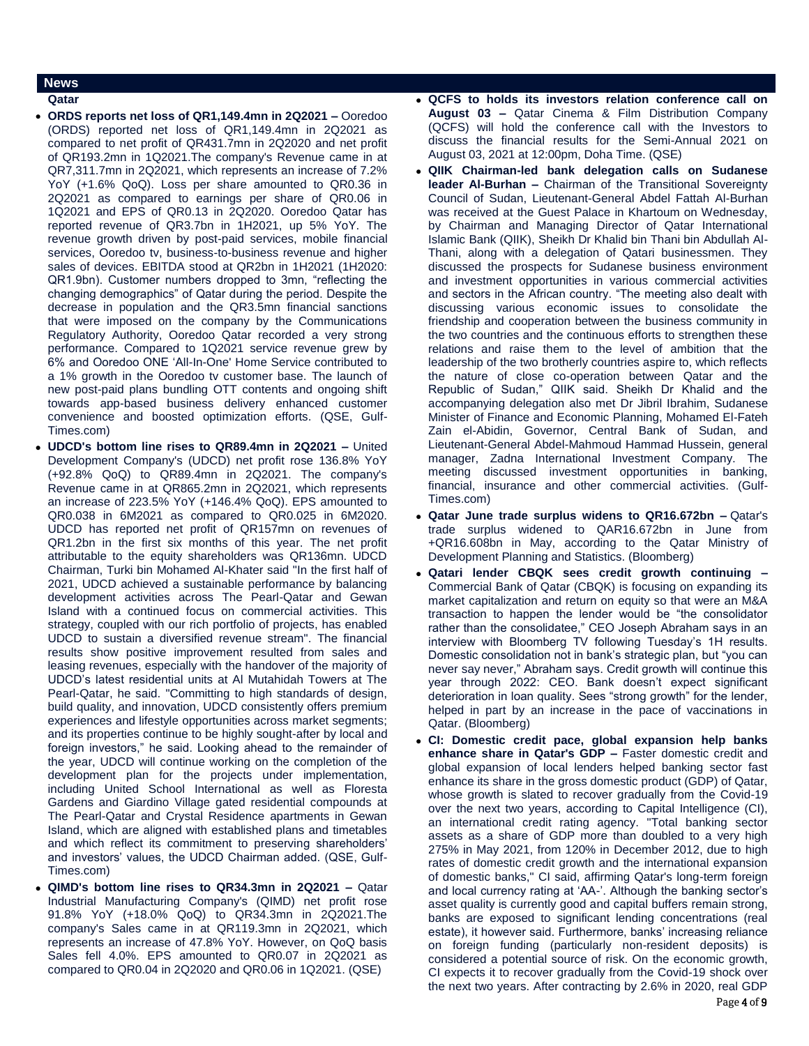### **News**

- **Qatar**
- **ORDS reports net loss of QR1,149.4mn in 2Q2021 –** Ooredoo (ORDS) reported net loss of QR1,149.4mn in 2Q2021 as compared to net profit of QR431.7mn in 2Q2020 and net profit of QR193.2mn in 1Q2021.The company's Revenue came in at QR7,311.7mn in 2Q2021, which represents an increase of 7.2% YoY (+1.6% QoQ). Loss per share amounted to QR0.36 in 2Q2021 as compared to earnings per share of QR0.06 in 1Q2021 and EPS of QR0.13 in 2Q2020. Ooredoo Qatar has reported revenue of QR3.7bn in 1H2021, up 5% YoY. The revenue growth driven by post-paid services, mobile financial services, Ooredoo tv, business-to-business revenue and higher sales of devices. EBITDA stood at QR2bn in 1H2021 (1H2020: QR1.9bn). Customer numbers dropped to 3mn, "reflecting the changing demographics" of Qatar during the period. Despite the decrease in population and the QR3.5mn financial sanctions that were imposed on the company by the Communications Regulatory Authority, Ooredoo Qatar recorded a very strong performance. Compared to 1Q2021 service revenue grew by 6% and Ooredoo ONE 'All-In-One' Home Service contributed to a 1% growth in the Ooredoo tv customer base. The launch of new post-paid plans bundling OTT contents and ongoing shift towards app-based business delivery enhanced customer convenience and boosted optimization efforts. (QSE, Gulf-Times.com)
- **UDCD's bottom line rises to QR89.4mn in 2Q2021 –** United Development Company's (UDCD) net profit rose 136.8% YoY (+92.8% QoQ) to QR89.4mn in 2Q2021. The company's Revenue came in at QR865.2mn in 2Q2021, which represents an increase of 223.5% YoY (+146.4% QoQ). EPS amounted to QR0.038 in 6M2021 as compared to QR0.025 in 6M2020. UDCD has reported net profit of QR157mn on revenues of QR1.2bn in the first six months of this year. The net profit attributable to the equity shareholders was QR136mn. UDCD Chairman, Turki bin Mohamed Al-Khater said "In the first half of 2021, UDCD achieved a sustainable performance by balancing development activities across The Pearl-Qatar and Gewan Island with a continued focus on commercial activities. This strategy, coupled with our rich portfolio of projects, has enabled UDCD to sustain a diversified revenue stream". The financial results show positive improvement resulted from sales and leasing revenues, especially with the handover of the majority of UDCD's latest residential units at Al Mutahidah Towers at The Pearl-Qatar, he said. "Committing to high standards of design, build quality, and innovation, UDCD consistently offers premium experiences and lifestyle opportunities across market segments; and its properties continue to be highly sought-after by local and foreign investors," he said. Looking ahead to the remainder of the year, UDCD will continue working on the completion of the development plan for the projects under implementation, including United School International as well as Floresta Gardens and Giardino Village gated residential compounds at The Pearl-Qatar and Crystal Residence apartments in Gewan Island, which are aligned with established plans and timetables and which reflect its commitment to preserving shareholders' and investors' values, the UDCD Chairman added. (QSE, Gulf-Times.com)
- **QIMD's bottom line rises to QR34.3mn in 2Q2021 –** Qatar Industrial Manufacturing Company's (QIMD) net profit rose 91.8% YoY (+18.0% QoQ) to QR34.3mn in 2Q2021.The company's Sales came in at QR119.3mn in 2Q2021, which represents an increase of 47.8% YoY. However, on QoQ basis Sales fell 4.0%. EPS amounted to QR0.07 in 2Q2021 as compared to QR0.04 in 2Q2020 and QR0.06 in 1Q2021. (QSE)
- **QCFS to holds its investors relation conference call on August 03 –** Qatar Cinema & Film Distribution Company (QCFS) will hold the conference call with the Investors to discuss the financial results for the Semi-Annual 2021 on August 03, 2021 at 12:00pm, Doha Time. (QSE)
- **QIIK Chairman-led bank delegation calls on Sudanese leader Al-Burhan –** Chairman of the Transitional Sovereignty Council of Sudan, Lieutenant-General Abdel Fattah Al-Burhan was received at the Guest Palace in Khartoum on Wednesday, by Chairman and Managing Director of Qatar International Islamic Bank (QIIK), Sheikh Dr Khalid bin Thani bin Abdullah Al-Thani, along with a delegation of Qatari businessmen. They discussed the prospects for Sudanese business environment and investment opportunities in various commercial activities and sectors in the African country. "The meeting also dealt with discussing various economic issues to consolidate the friendship and cooperation between the business community in the two countries and the continuous efforts to strengthen these relations and raise them to the level of ambition that the leadership of the two brotherly countries aspire to, which reflects the nature of close co-operation between Qatar and the Republic of Sudan," QIIK said. Sheikh Dr Khalid and the accompanying delegation also met Dr Jibril Ibrahim, Sudanese Minister of Finance and Economic Planning, Mohamed El-Fateh Zain el-Abidin, Governor, Central Bank of Sudan, and Lieutenant-General Abdel-Mahmoud Hammad Hussein, general manager, Zadna International Investment Company. The meeting discussed investment opportunities in banking, financial, insurance and other commercial activities. (Gulf-Times.com)
- **Qatar June trade surplus widens to QR16.672bn –** Qatar's trade surplus widened to QAR16.672bn in June from +QR16.608bn in May, according to the Qatar Ministry of Development Planning and Statistics. (Bloomberg)
- **Qatari lender CBQK sees credit growth continuing –** Commercial Bank of Qatar (CBQK) is focusing on expanding its market capitalization and return on equity so that were an M&A transaction to happen the lender would be "the consolidator rather than the consolidatee," CEO Joseph Abraham says in an interview with Bloomberg TV following Tuesday's 1H results. Domestic consolidation not in bank's strategic plan, but "you can never say never," Abraham says. Credit growth will continue this year through 2022: CEO. Bank doesn't expect significant deterioration in loan quality. Sees "strong growth" for the lender, helped in part by an increase in the pace of vaccinations in Qatar. (Bloomberg)
- **CI: Domestic credit pace, global expansion help banks enhance share in Qatar's GDP –** Faster domestic credit and global expansion of local lenders helped banking sector fast enhance its share in the gross domestic product (GDP) of Qatar, whose growth is slated to recover gradually from the Covid-19 over the next two years, according to Capital Intelligence (CI), an international credit rating agency. "Total banking sector assets as a share of GDP more than doubled to a very high 275% in May 2021, from 120% in December 2012, due to high rates of domestic credit growth and the international expansion of domestic banks," CI said, affirming Qatar's long-term foreign and local currency rating at 'AA-'. Although the banking sector's asset quality is currently good and capital buffers remain strong, banks are exposed to significant lending concentrations (real estate), it however said. Furthermore, banks' increasing reliance on foreign funding (particularly non-resident deposits) is considered a potential source of risk. On the economic growth, CI expects it to recover gradually from the Covid-19 shock over the next two years. After contracting by 2.6% in 2020, real GDP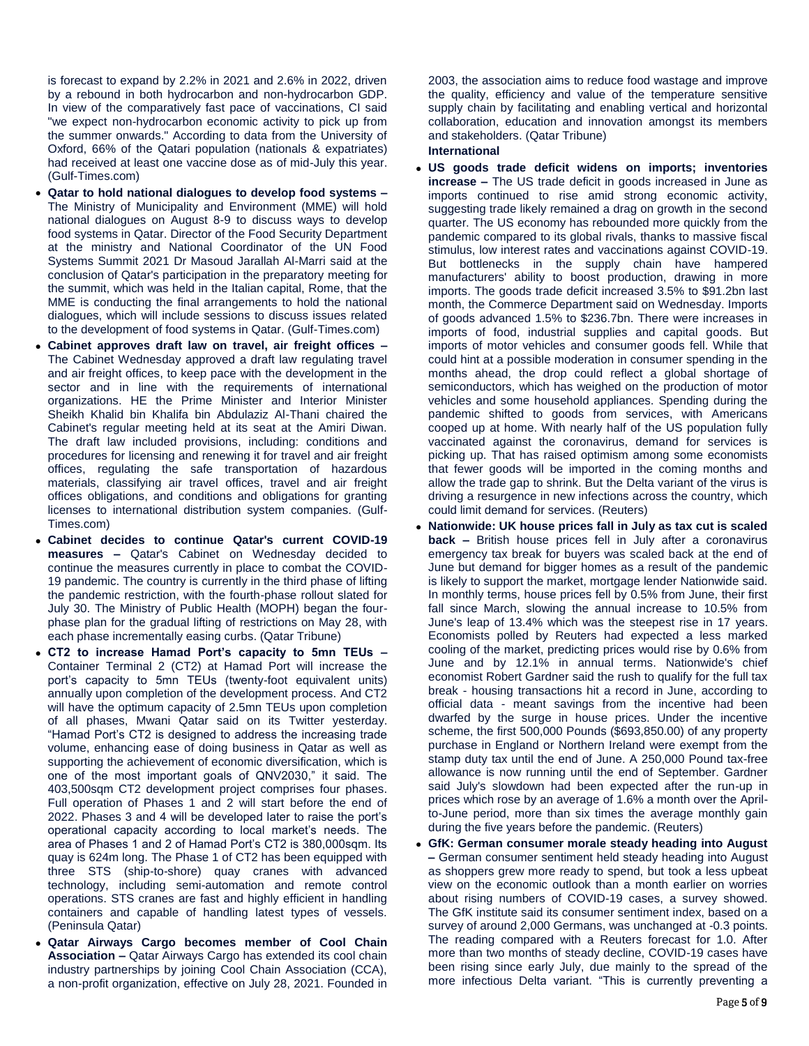is forecast to expand by 2.2% in 2021 and 2.6% in 2022, driven by a rebound in both hydrocarbon and non-hydrocarbon GDP. In view of the comparatively fast pace of vaccinations, CI said "we expect non-hydrocarbon economic activity to pick up from the summer onwards." According to data from the University of Oxford, 66% of the Qatari population (nationals & expatriates) had received at least one vaccine dose as of mid-July this year. (Gulf-Times.com)

- **Qatar to hold national dialogues to develop food systems –** The Ministry of Municipality and Environment (MME) will hold national dialogues on August 8-9 to discuss ways to develop food systems in Qatar. Director of the Food Security Department at the ministry and National Coordinator of the UN Food Systems Summit 2021 Dr Masoud Jarallah Al-Marri said at the conclusion of Qatar's participation in the preparatory meeting for the summit, which was held in the Italian capital, Rome, that the MME is conducting the final arrangements to hold the national dialogues, which will include sessions to discuss issues related to the development of food systems in Qatar. (Gulf-Times.com)
- **Cabinet approves draft law on travel, air freight offices –** The Cabinet Wednesday approved a draft law regulating travel and air freight offices, to keep pace with the development in the sector and in line with the requirements of international organizations. HE the Prime Minister and Interior Minister Sheikh Khalid bin Khalifa bin Abdulaziz Al-Thani chaired the Cabinet's regular meeting held at its seat at the Amiri Diwan. The draft law included provisions, including: conditions and procedures for licensing and renewing it for travel and air freight offices, regulating the safe transportation of hazardous materials, classifying air travel offices, travel and air freight offices obligations, and conditions and obligations for granting licenses to international distribution system companies. (Gulf-Times.com)
- **Cabinet decides to continue Qatar's current COVID-19 measures –** Qatar's Cabinet on Wednesday decided to continue the measures currently in place to combat the COVID-19 pandemic. The country is currently in the third phase of lifting the pandemic restriction, with the fourth-phase rollout slated for July 30. The Ministry of Public Health (MOPH) began the fourphase plan for the gradual lifting of restrictions on May 28, with each phase incrementally easing curbs. (Qatar Tribune)
- **CT2 to increase Hamad Port's capacity to 5mn TEUs –** Container Terminal 2 (CT2) at Hamad Port will increase the port's capacity to 5mn TEUs (twenty-foot equivalent units) annually upon completion of the development process. And CT2 will have the optimum capacity of 2.5mn TEUs upon completion of all phases, Mwani Qatar said on its Twitter yesterday. "Hamad Port's CT2 is designed to address the increasing trade volume, enhancing ease of doing business in Qatar as well as supporting the achievement of economic diversification, which is one of the most important goals of QNV2030," it said. The 403,500sqm CT2 development project comprises four phases. Full operation of Phases 1 and 2 will start before the end of 2022. Phases 3 and 4 will be developed later to raise the port's operational capacity according to local market's needs. The area of Phases 1 and 2 of Hamad Port's CT2 is 380,000sqm. Its quay is 624m long. The Phase 1 of CT2 has been equipped with three STS (ship-to-shore) quay cranes with advanced technology, including semi-automation and remote control operations. STS cranes are fast and highly efficient in handling containers and capable of handling latest types of vessels. (Peninsula Qatar)
- **Qatar Airways Cargo becomes member of Cool Chain Association –** Qatar Airways Cargo has extended its cool chain industry partnerships by joining Cool Chain Association (CCA), a non-profit organization, effective on July 28, 2021. Founded in

2003, the association aims to reduce food wastage and improve the quality, efficiency and value of the temperature sensitive supply chain by facilitating and enabling vertical and horizontal collaboration, education and innovation amongst its members and stakeholders. (Qatar Tribune)

# **International**

- **US goods trade deficit widens on imports; inventories increase –** The US trade deficit in goods increased in June as imports continued to rise amid strong economic activity, suggesting trade likely remained a drag on growth in the second quarter. The US economy has rebounded more quickly from the pandemic compared to its global rivals, thanks to massive fiscal stimulus, low interest rates and vaccinations against COVID-19. But bottlenecks in the supply chain have hampered manufacturers' ability to boost production, drawing in more imports. The goods trade deficit increased 3.5% to \$91.2bn last month, the Commerce Department said on Wednesday. Imports of goods advanced 1.5% to \$236.7bn. There were increases in imports of food, industrial supplies and capital goods. But imports of motor vehicles and consumer goods fell. While that could hint at a possible moderation in consumer spending in the months ahead, the drop could reflect a global shortage of semiconductors, which has weighed on the production of motor vehicles and some household appliances. Spending during the pandemic shifted to goods from services, with Americans cooped up at home. With nearly half of the US population fully vaccinated against the coronavirus, demand for services is picking up. That has raised optimism among some economists that fewer goods will be imported in the coming months and allow the trade gap to shrink. But the Delta variant of the virus is driving a resurgence in new infections across the country, which could limit demand for services. (Reuters)
- **Nationwide: UK house prices fall in July as tax cut is scaled back –** British house prices fell in July after a coronavirus emergency tax break for buyers was scaled back at the end of June but demand for bigger homes as a result of the pandemic is likely to support the market, mortgage lender Nationwide said. In monthly terms, house prices fell by 0.5% from June, their first fall since March, slowing the annual increase to 10.5% from June's leap of 13.4% which was the steepest rise in 17 years. Economists polled by Reuters had expected a less marked cooling of the market, predicting prices would rise by 0.6% from June and by 12.1% in annual terms. Nationwide's chief economist Robert Gardner said the rush to qualify for the full tax break - housing transactions hit a record in June, according to official data - meant savings from the incentive had been dwarfed by the surge in house prices. Under the incentive scheme, the first 500,000 Pounds (\$693,850.00) of any property purchase in England or Northern Ireland were exempt from the stamp duty tax until the end of June. A 250,000 Pound tax-free allowance is now running until the end of September. Gardner said July's slowdown had been expected after the run-up in prices which rose by an average of 1.6% a month over the Aprilto-June period, more than six times the average monthly gain during the five years before the pandemic. (Reuters)
- **GfK: German consumer morale steady heading into August –** German consumer sentiment held steady heading into August as shoppers grew more ready to spend, but took a less upbeat view on the economic outlook than a month earlier on worries about rising numbers of COVID-19 cases, a survey showed. The GfK institute said its consumer sentiment index, based on a survey of around 2,000 Germans, was unchanged at -0.3 points. The reading compared with a Reuters forecast for 1.0. After more than two months of steady decline, COVID-19 cases have been rising since early July, due mainly to the spread of the more infectious Delta variant. "This is currently preventing a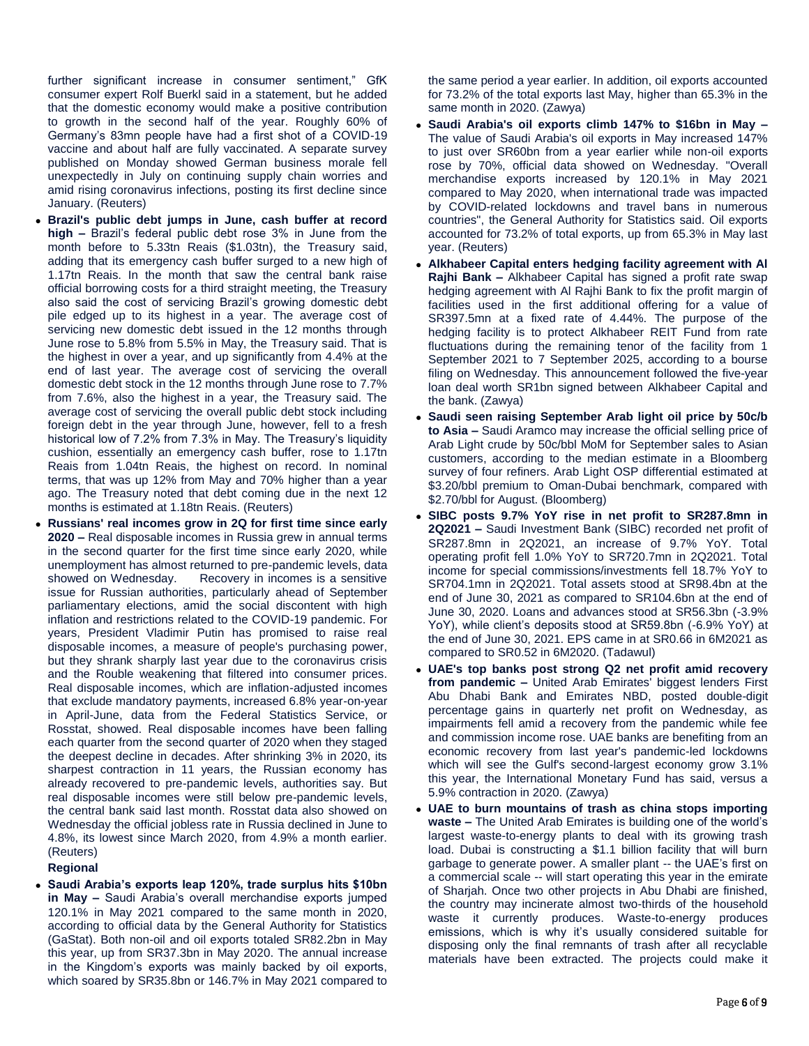further significant increase in consumer sentiment," GfK consumer expert Rolf Buerkl said in a statement, but he added that the domestic economy would make a positive contribution to growth in the second half of the year. Roughly 60% of Germany's 83mn people have had a first shot of a COVID-19 vaccine and about half are fully vaccinated. A separate survey published on Monday showed German business morale fell unexpectedly in July on continuing supply chain worries and amid rising coronavirus infections, posting its first decline since January. (Reuters)

- **Brazil's public debt jumps in June, cash buffer at record high –** Brazil's federal public debt rose 3% in June from the month before to 5.33tn Reais (\$1.03tn), the Treasury said, adding that its emergency cash buffer surged to a new high of 1.17tn Reais. In the month that saw the central bank raise official borrowing costs for a third straight meeting, the Treasury also said the cost of servicing Brazil's growing domestic debt pile edged up to its highest in a year. The average cost of servicing new domestic debt issued in the 12 months through June rose to 5.8% from 5.5% in May, the Treasury said. That is the highest in over a year, and up significantly from 4.4% at the end of last year. The average cost of servicing the overall domestic debt stock in the 12 months through June rose to 7.7% from 7.6%, also the highest in a year, the Treasury said. The average cost of servicing the overall public debt stock including foreign debt in the year through June, however, fell to a fresh historical low of 7.2% from 7.3% in May. The Treasury's liquidity cushion, essentially an emergency cash buffer, rose to 1.17tn Reais from 1.04tn Reais, the highest on record. In nominal terms, that was up 12% from May and 70% higher than a year ago. The Treasury noted that debt coming due in the next 12 months is estimated at 1.18tn Reais. (Reuters)
- **Russians' real incomes grow in 2Q for first time since early 2020 –** Real disposable incomes in Russia grew in annual terms in the second quarter for the first time since early 2020, while unemployment has almost returned to pre-pandemic levels, data showed on Wednesday. Recovery in incomes is a sensitive issue for Russian authorities, particularly ahead of September parliamentary elections, amid the social discontent with high inflation and restrictions related to the COVID-19 pandemic. For years, President Vladimir Putin has promised to raise real disposable incomes, a measure of people's purchasing power, but they shrank sharply last year due to the coronavirus crisis and the Rouble weakening that filtered into consumer prices. Real disposable incomes, which are inflation-adjusted incomes that exclude mandatory payments, increased 6.8% year-on-year in April-June, data from the Federal Statistics Service, or Rosstat, showed. Real disposable incomes have been falling each quarter from the second quarter of 2020 when they staged the deepest decline in decades. After shrinking 3% in 2020, its sharpest contraction in 11 years, the Russian economy has already recovered to pre-pandemic levels, authorities say. But real disposable incomes were still below pre-pandemic levels, the central bank said last month. Rosstat data also showed on Wednesday the official jobless rate in Russia declined in June to 4.8%, its lowest since March 2020, from 4.9% a month earlier. (Reuters)

#### **Regional**

 **Saudi Arabia's exports leap 120%, trade surplus hits \$10bn in May –** Saudi Arabia's overall merchandise exports jumped 120.1% in May 2021 compared to the same month in 2020, according to official data by the General Authority for Statistics (GaStat). Both non-oil and oil exports totaled SR82.2bn in May this year, up from SR37.3bn in May 2020. The annual increase in the Kingdom's exports was mainly backed by oil exports, which soared by SR35.8bn or 146.7% in May 2021 compared to

the same period a year earlier. In addition, oil exports accounted for 73.2% of the total exports last May, higher than 65.3% in the same month in 2020. (Zawya)

- **Saudi Arabia's oil exports climb 147% to \$16bn in May –** The value of Saudi Arabia's oil exports in May increased 147% to just over SR60bn from a year earlier while non-oil exports rose by 70%, official data showed on Wednesday. "Overall merchandise exports increased by 120.1% in May 2021 compared to May 2020, when international trade was impacted by COVID-related lockdowns and travel bans in numerous countries", the General Authority for Statistics said. Oil exports accounted for 73.2% of total exports, up from 65.3% in May last year. (Reuters)
- **Alkhabeer Capital enters hedging facility agreement with Al Rajhi Bank –** Alkhabeer Capital has signed a profit rate swap hedging agreement with Al Rajhi Bank to fix the profit margin of facilities used in the first additional offering for a value of SR397.5mn at a fixed rate of 4.44%. The purpose of the hedging facility is to protect Alkhabeer REIT Fund from rate fluctuations during the remaining tenor of the facility from 1 September 2021 to 7 September 2025, according to a bourse filing on Wednesday. This announcement followed the five-year loan deal worth SR1bn signed between Alkhabeer Capital and the bank. (Zawya)
- **Saudi seen raising September Arab light oil price by 50c/b to Asia –** Saudi Aramco may increase the official selling price of Arab Light crude by 50c/bbl MoM for September sales to Asian customers, according to the median estimate in a Bloomberg survey of four refiners. Arab Light OSP differential estimated at \$3.20/bbl premium to Oman-Dubai benchmark, compared with \$2.70/bbl for August. (Bloomberg)
- **SIBC posts 9.7% YoY rise in net profit to SR287.8mn in 2Q2021 –** Saudi Investment Bank (SIBC) recorded net profit of SR287.8mn in 2Q2021, an increase of 9.7% YoY. Total operating profit fell 1.0% YoY to SR720.7mn in 2Q2021. Total income for special commissions/investments fell 18.7% YoY to SR704.1mn in 2Q2021. Total assets stood at SR98.4bn at the end of June 30, 2021 as compared to SR104.6bn at the end of June 30, 2020. Loans and advances stood at SR56.3bn (-3.9% YoY), while client's deposits stood at SR59.8bn (-6.9% YoY) at the end of June 30, 2021. EPS came in at SR0.66 in 6M2021 as compared to SR0.52 in 6M2020. (Tadawul)
- **UAE's top banks post strong Q2 net profit amid recovery from pandemic –** United Arab Emirates' biggest lenders First Abu Dhabi Bank and Emirates NBD, posted double-digit percentage gains in quarterly net profit on Wednesday, as impairments fell amid a recovery from the pandemic while fee and commission income rose. UAE banks are benefiting from an economic recovery from last year's pandemic-led lockdowns which will see the Gulf's second-largest economy grow 3.1% this year, the International Monetary Fund has said, versus a 5.9% contraction in 2020. (Zawya)
- **UAE to burn mountains of trash as china stops importing waste –** The United Arab Emirates is building one of the world's largest waste-to-energy plants to deal with its growing trash load. Dubai is constructing a \$1.1 billion facility that will burn garbage to generate power. A smaller plant -- the UAE's first on a commercial scale -- will start operating this year in the emirate of Sharjah. Once two other projects in Abu Dhabi are finished, the country may incinerate almost two-thirds of the household waste it currently produces. Waste-to-energy produces emissions, which is why it's usually considered suitable for disposing only the final remnants of trash after all recyclable materials have been extracted. The projects could make it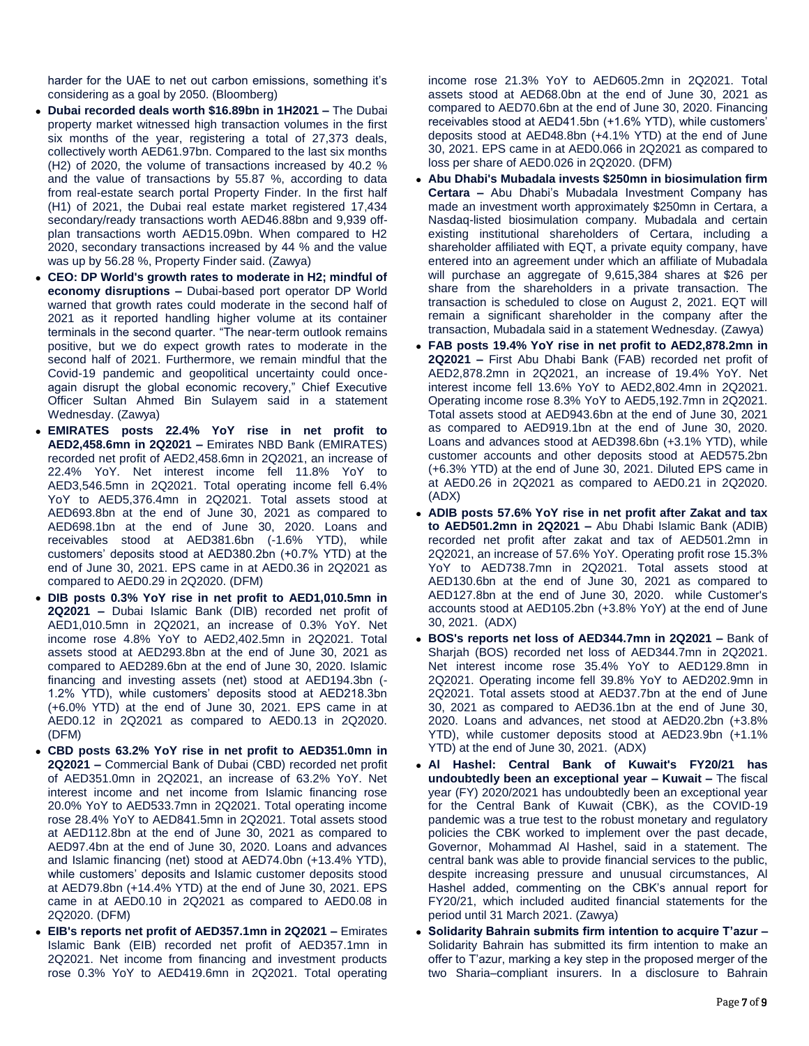harder for the UAE to net out carbon emissions, something it's considering as a goal by 2050. (Bloomberg)

- **Dubai recorded deals worth \$16.89bn in 1H2021 –** The Dubai property market witnessed high transaction volumes in the first six months of the year, registering a total of 27,373 deals, collectively worth AED61.97bn. Compared to the last six months (H2) of 2020, the volume of transactions increased by 40.2 % and the value of transactions by 55.87 %, according to data from real-estate search portal Property Finder. In the first half (H1) of 2021, the Dubai real estate market registered 17,434 secondary/ready transactions worth AED46.88bn and 9,939 offplan transactions worth AED15.09bn. When compared to H2 2020, secondary transactions increased by 44 % and the value was up by 56.28 %, Property Finder said. (Zawya)
- **CEO: DP World's growth rates to moderate in H2; mindful of economy disruptions –** Dubai-based port operator DP World warned that growth rates could moderate in the second half of 2021 as it reported handling higher volume at its container terminals in the second quarter. "The near-term outlook remains positive, but we do expect growth rates to moderate in the second half of 2021. Furthermore, we remain mindful that the Covid-19 pandemic and geopolitical uncertainty could onceagain disrupt the global economic recovery," Chief Executive Officer Sultan Ahmed Bin Sulayem said in a statement Wednesday. (Zawya)
- **EMIRATES posts 22.4% YoY rise in net profit to AED2,458.6mn in 2Q2021 –** Emirates NBD Bank (EMIRATES) recorded net profit of AED2,458.6mn in 2Q2021, an increase of 22.4% YoY. Net interest income fell 11.8% YoY to AED3,546.5mn in 2Q2021. Total operating income fell 6.4% YoY to AED5,376.4mn in 2Q2021. Total assets stood at AED693.8bn at the end of June 30, 2021 as compared to AED698.1bn at the end of June 30, 2020. Loans and receivables stood at AED381.6bn (-1.6% YTD), while customers' deposits stood at AED380.2bn (+0.7% YTD) at the end of June 30, 2021. EPS came in at AED0.36 in 2Q2021 as compared to AED0.29 in 2Q2020. (DFM)
- **DIB posts 0.3% YoY rise in net profit to AED1,010.5mn in 2Q2021 –** Dubai Islamic Bank (DIB) recorded net profit of AED1,010.5mn in 2Q2021, an increase of 0.3% YoY. Net income rose 4.8% YoY to AED2,402.5mn in 2Q2021. Total assets stood at AED293.8bn at the end of June 30, 2021 as compared to AED289.6bn at the end of June 30, 2020. Islamic financing and investing assets (net) stood at AED194.3bn (- 1.2% YTD), while customers' deposits stood at AED218.3bn (+6.0% YTD) at the end of June 30, 2021. EPS came in at AED0.12 in 2Q2021 as compared to AED0.13 in 2Q2020. (DFM)
- **CBD posts 63.2% YoY rise in net profit to AED351.0mn in 2Q2021 –** Commercial Bank of Dubai (CBD) recorded net profit of AED351.0mn in 2Q2021, an increase of 63.2% YoY. Net interest income and net income from Islamic financing rose 20.0% YoY to AED533.7mn in 2Q2021. Total operating income rose 28.4% YoY to AED841.5mn in 2Q2021. Total assets stood at AED112.8bn at the end of June 30, 2021 as compared to AED97.4bn at the end of June 30, 2020. Loans and advances and Islamic financing (net) stood at AED74.0bn (+13.4% YTD), while customers' deposits and Islamic customer deposits stood at AED79.8bn (+14.4% YTD) at the end of June 30, 2021. EPS came in at AED0.10 in 2Q2021 as compared to AED0.08 in 2Q2020. (DFM)
- **EIB's reports net profit of AED357.1mn in 2Q2021 –** Emirates Islamic Bank (EIB) recorded net profit of AED357.1mn in 2Q2021. Net income from financing and investment products rose 0.3% YoY to AED419.6mn in 2Q2021. Total operating

income rose 21.3% YoY to AED605.2mn in 2Q2021. Total assets stood at AED68.0bn at the end of June 30, 2021 as compared to AED70.6bn at the end of June 30, 2020. Financing receivables stood at AED41.5bn (+1.6% YTD), while customers' deposits stood at AED48.8bn (+4.1% YTD) at the end of June 30, 2021. EPS came in at AED0.066 in 2Q2021 as compared to loss per share of AED0.026 in 2Q2020. (DFM)

- **Abu Dhabi's Mubadala invests \$250mn in biosimulation firm Certara –** Abu Dhabi's Mubadala Investment Company has made an investment worth approximately \$250mn in Certara, a Nasdaq-listed biosimulation company. Mubadala and certain existing institutional shareholders of Certara, including a shareholder affiliated with EQT, a private equity company, have entered into an agreement under which an affiliate of Mubadala will purchase an aggregate of 9,615,384 shares at \$26 per share from the shareholders in a private transaction. The transaction is scheduled to close on August 2, 2021. EQT will remain a significant shareholder in the company after the transaction, Mubadala said in a statement Wednesday. (Zawya)
- **FAB posts 19.4% YoY rise in net profit to AED2,878.2mn in 2Q2021 –** First Abu Dhabi Bank (FAB) recorded net profit of AED2,878.2mn in 2Q2021, an increase of 19.4% YoY. Net interest income fell 13.6% YoY to AED2,802.4mn in 2Q2021. Operating income rose 8.3% YoY to AED5,192.7mn in 2Q2021. Total assets stood at AED943.6bn at the end of June 30, 2021 as compared to AED919.1bn at the end of June 30, 2020. Loans and advances stood at AED398.6bn (+3.1% YTD), while customer accounts and other deposits stood at AED575.2bn (+6.3% YTD) at the end of June 30, 2021. Diluted EPS came in at AED0.26 in 2Q2021 as compared to AED0.21 in 2Q2020. (ADX)
- **ADIB posts 57.6% YoY rise in net profit after Zakat and tax to AED501.2mn in 2Q2021 –** Abu Dhabi Islamic Bank (ADIB) recorded net profit after zakat and tax of AED501.2mn in 2Q2021, an increase of 57.6% YoY. Operating profit rose 15.3% YoY to AED738.7mn in 2Q2021. Total assets stood at AED130.6bn at the end of June 30, 2021 as compared to AED127.8bn at the end of June 30, 2020. while Customer's accounts stood at AED105.2bn (+3.8% YoY) at the end of June 30, 2021. (ADX)
- **BOS's reports net loss of AED344.7mn in 2Q2021 –** Bank of Sharjah (BOS) recorded net loss of AED344.7mn in 2Q2021. Net interest income rose 35.4% YoY to AED129.8mn in 2Q2021. Operating income fell 39.8% YoY to AED202.9mn in 2Q2021. Total assets stood at AED37.7bn at the end of June 30, 2021 as compared to AED36.1bn at the end of June 30, 2020. Loans and advances, net stood at AED20.2bn (+3.8% YTD), while customer deposits stood at AED23.9bn (+1.1% YTD) at the end of June 30, 2021. (ADX)
- **Al Hashel: Central Bank of Kuwait's FY20/21 has undoubtedly been an exceptional year – Kuwait –** The fiscal year (FY) 2020/2021 has undoubtedly been an exceptional year for the Central Bank of Kuwait (CBK), as the COVID-19 pandemic was a true test to the robust monetary and regulatory policies the CBK worked to implement over the past decade, Governor, Mohammad Al Hashel, said in a statement. The central bank was able to provide financial services to the public, despite increasing pressure and unusual circumstances, Al Hashel added, commenting on the CBK's annual report for FY20/21, which included audited financial statements for the period until 31 March 2021. (Zawya)
- **Solidarity Bahrain submits firm intention to acquire T'azur –** Solidarity Bahrain has submitted its firm intention to make an offer to T'azur, marking a key step in the proposed merger of the two Sharia–compliant insurers. In a disclosure to Bahrain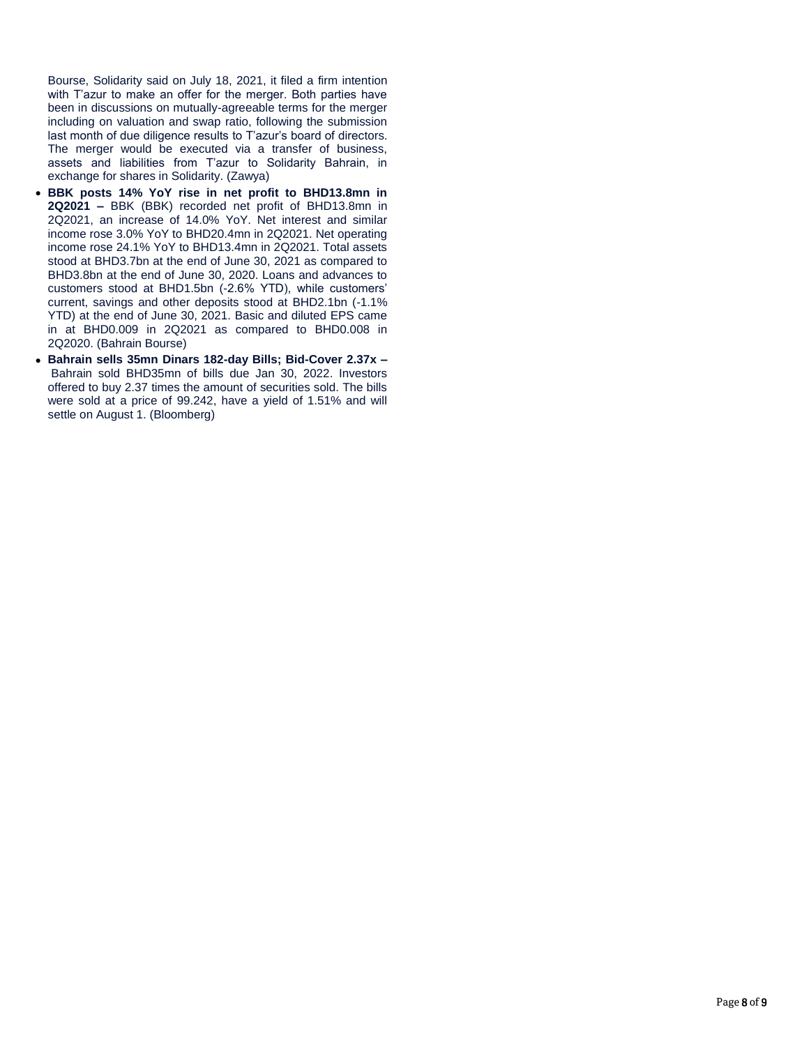Bourse, Solidarity said on July 18, 2021, it filed a firm intention with T'azur to make an offer for the merger. Both parties have been in discussions on mutually-agreeable terms for the merger including on valuation and swap ratio, following the submission last month of due diligence results to T'azur's board of directors. The merger would be executed via a transfer of business, assets and liabilities from T'azur to Solidarity Bahrain, in exchange for shares in Solidarity. (Zawya)

- **BBK posts 14% YoY rise in net profit to BHD13.8mn in 2Q2021 –** BBK (BBK) recorded net profit of BHD13.8mn in 2Q2021, an increase of 14.0% YoY. Net interest and similar income rose 3.0% YoY to BHD20.4mn in 2Q2021. Net operating income rose 24.1% YoY to BHD13.4mn in 2Q2021. Total assets stood at BHD3.7bn at the end of June 30, 2021 as compared to BHD3.8bn at the end of June 30, 2020. Loans and advances to customers stood at BHD1.5bn (-2.6% YTD), while customers' current, savings and other deposits stood at BHD2.1bn (-1.1% YTD) at the end of June 30, 2021. Basic and diluted EPS came in at BHD0.009 in 2Q2021 as compared to BHD0.008 in 2Q2020. (Bahrain Bourse)
- **Bahrain sells 35mn Dinars 182-day Bills; Bid-Cover 2.37x –** Bahrain sold BHD35mn of bills due Jan 30, 2022. Investors offered to buy 2.37 times the amount of securities sold. The bills were sold at a price of 99.242, have a yield of 1.51% and will settle on August 1. (Bloomberg)